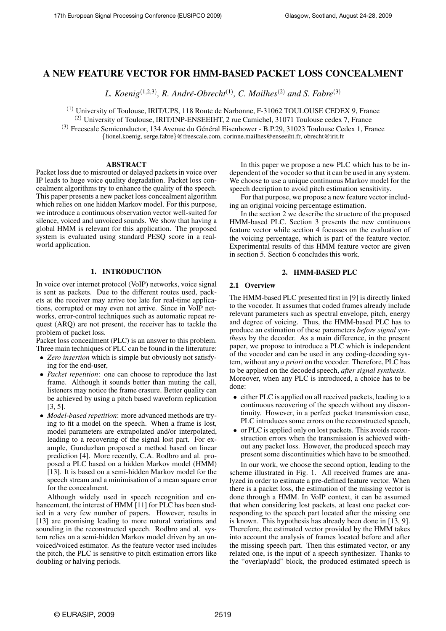# **A NEW FEATURE VECTOR FOR HMM-BASED PACKET LOSS CONCEALMENT**

*L. Koenig*(1,2,3) *, R. Andre-Obrecht ´* (1) *, C. Mailhes*(2) *and S. Fabre*(3)

 $<sup>(1)</sup>$  University of Toulouse, IRIT/UPS, 118 Route de Narbonne, F-31062 TOULOUSE CEDEX 9, France</sup>

 $(2)$  University of Toulouse, IRIT/INP-ENSEEIHT, 2 rue Camichel, 31071 Toulouse cedex 7, France

 $(3)$  Freescale Semiconductor, 134 Avenue du Général Eisenhower - B.P.29, 31023 Toulouse Cedex 1, France

{lionel.koenig, serge.fabre}@freescale.com, corinne.mailhes@enseeiht.fr, obrecht@irit.fr

# **ABSTRACT**

Packet loss due to misrouted or delayed packets in voice over IP leads to huge voice quality degradation. Packet loss concealment algorithms try to enhance the quality of the speech. This paper presents a new packet loss concealment algorithm which relies on one hidden Markov model. For this purpose, we introduce a continuous observation vector well-suited for silence, voiced and unvoiced sounds. We show that having a global HMM is relevant for this application. The proposed system is evaluated using standard PESQ score in a realworld application.

# **1. INTRODUCTION**

In voice over internet protocol (VoIP) networks, voice signal is sent as packets. Due to the different routes used, packets at the receiver may arrive too late for real-time applications, corrupted or may even not arrive. Since in VoIP networks, error-control techniques such as automatic repeat request (ARQ) are not present, the receiver has to tackle the problem of packet loss.

Packet loss concealment (PLC) is an answer to this problem. Three main techniques of PLC can be found in the litterature:

- *Zero insertion* which is simple but obviously not satisfying for the end-user,
- *Packet repetition*: one can choose to reproduce the last frame. Although it sounds better than muting the call, listeners may notice the frame erasure. Better quality can be achieved by using a pitch based waveform replication [3, 5].
- *Model-based repetition*: more advanced methods are trying to fit a model on the speech. When a frame is lost, model parameters are extrapolated and/or interpolated, leading to a recovering of the signal lost part. For example, Gunduzhan proposed a method based on linear prediction [4]. More recently, C.A. Rodbro and al. proposed a PLC based on a hidden Markov model (HMM) [13]. It is based on a semi-hidden Markov model for the speech stream and a minimisation of a mean square error for the concealment.

Although widely used in speech recognition and enhancement, the interest of HMM [11] for PLC has been studied in a very few number of papers. However, results in [13] are promising leading to more natural variations and sounding in the reconstructed speech. Rodbro and al. system relies on a semi-hidden Markov model driven by an unvoiced/voiced estimator. As the feature vector used includes the pitch, the PLC is sensitive to pitch estimation errors like doubling or halving periods.

In this paper we propose a new PLC which has to be independent of the vocoder so that it can be used in any system. We choose to use a unique continuous Markov model for the speech decription to avoid pitch estimation sensitivity.

For that purpose, we propose a new feature vector including an original voicing percentage estimation.

In the section 2 we describe the structure of the proposed HMM-based PLC. Section 3 presents the new continuous feature vector while section 4 focusses on the evaluation of the voicing percentage, which is part of the feature vector. Experimental results of this HMM feature vector are given in section 5. Section 6 concludes this work.

# **2. HMM-BASED PLC**

# **2.1 Overview**

The HMM-based PLC presented first in [9] is directly linked to the vocoder. It assumes that coded frames already include relevant parameters such as spectral envelope, pitch, energy and degree of voicing. Thus, the HMM-based PLC has to produce an estimation of these parameters *before signal synthesis* by the decoder. As a main difference, in the present paper, we propose to introduce a PLC which is independent of the vocoder and can be used in any coding-decoding system, without any *a priori* on the vocoder. Therefore, PLC has to be applied on the decoded speech, *after signal synthesis*. Moreover, when any PLC is introduced, a choice has to be done:

- either PLC is applied on all received packets, leading to a continuous recovering of the speech without any discontinuity. However, in a perfect packet transmission case, PLC introduces some errors on the reconstructed speech,
- or PLC is applied only on lost packets. This avoids reconstruction errors when the transmission is achieved without any packet loss. However, the produced speech may present some discontinuities which have to be smoothed.

In our work, we choose the second option, leading to the scheme illustrated in Fig. 1. All received frames are analyzed in order to estimate a pre-defined feature vector. When there is a packet loss, the estimation of the missing vector is done through a HMM. In VoIP context, it can be assumed that when considering lost packets, at least one packet corresponding to the speech part located after the missing one is known. This hypothesis has already been done in [13, 9]. Therefore, the estimated vector provided by the HMM takes into account the analysis of frames located before and after the missing speech part. Then this estimated vector, or any related one, is the input of a speech synthesizer. Thanks to the "overlap/add" block, the produced estimated speech is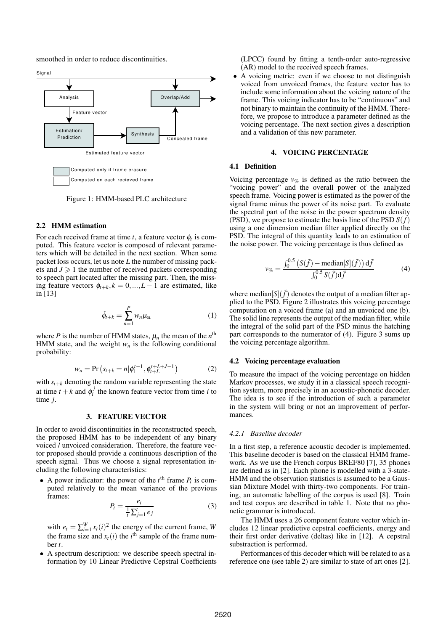smoothed in order to reduce discontinuities.



Figure 1: HMM-based PLC architecture

# **2.2 HMM estimation**

For each received frame at time  $t$ , a feature vector  $\phi_t$  is computed. This feature vector is composed of relevant parameters which will be detailed in the next section. When some packet loss occurs, let us note *L* the number of missing packets and  $J \geq 1$  the number of received packets corresponding to speech part located after the missing part. Then, the missing feature vectors  $\phi_{t+k}$ ,  $k = 0, ..., L-1$  are estimated, like in [13]

$$
\hat{\phi}_{t+k} = \sum_{n=1}^{P} w_n \mu_n \tag{1}
$$

where *P* is the number of HMM states,  $\mu_n$  the mean of the  $n^{\text{th}}$ HMM state, and the weight  $w_n$  is the following conditional probability:

$$
w_n = \Pr\left(s_{t+k} = n | \phi_1^{t-1}, \phi_{t+L}^{t+L+J-1}\right) \tag{2}
$$

with  $s_{t+k}$  denoting the random variable representing the state at time  $t + k$  and  $\phi_i^j$  the known feature vector from time *i* to time *j*.

## **3. FEATURE VECTOR**

In order to avoid discontinuities in the reconstructed speech, the proposed HMM has to be independent of any binary voiced / unvoiced consideration. Therefore, the feature vector proposed should provide a continuous description of the speech signal. Thus we choose a signal representation including the following characteristics:

• A power indicator: the power of the  $t^{\text{th}}$  frame  $P_t$  is computed relatively to the mean variance of the previous frames:

$$
P_t = \frac{e_t}{\frac{1}{t} \sum_{j=1}^t e_j} \tag{3}
$$

with  $e_t = \sum_{i=1}^{W} x_i(i)^2$  the energy of the current frame, *W* the frame size and  $x_t(i)$  the *i*<sup>th</sup> sample of the frame number *t*.

• A spectrum description: we describe speech spectral information by 10 Linear Predictive Cepstral Coefficients (LPCC) found by fitting a tenth-order auto-regressive (AR) model to the received speech frames.

• A voicing metric: even if we choose to not distinguish voiced from unvoiced frames, the feature vector has to include some information about the voicing nature of the frame. This voicing indicator has to be "continuous" and not binary to maintain the continuity of the HMM. Therefore, we propose to introduce a parameter defined as the voicing percentage. The next section gives a description and a validation of this new parameter.

# **4. VOICING PERCENTAGE**

### **4.1 Definition**

Voicing percentage  $v_{\%}$  is defined as the ratio between the "voicing power" and the overall power of the analyzed speech frame. Voicing power is estimated as the power of the signal frame minus the power of its noise part. To evaluate the spectral part of the noise in the power spectrum density (PSD), we propose to estimate the basis line of the PSD *S*(*f*) using a one dimension median filter applied directly on the PSD. The integral of this quantity leads to an estimation of the noise power. The voicing percentage is thus defined as

$$
v_{\%} = \frac{\int_0^{0.5} \left( S(\tilde{f}) - \text{median}[S](\tilde{f}) \right) \mathrm{d}\tilde{f}}{\int_0^{0.5} S(\tilde{f}) \mathrm{d}\tilde{f}} \tag{4}
$$

where median[*S*]( $\tilde{f}$ ) denotes the output of a median filter applied to the PSD. Figure 2 illustrates this voicing percentage computation on a voiced frame (a) and an unvoiced one (b). The solid line represents the output of the median filter, while the integral of the solid part of the PSD minus the hatching part corresponds to the numerator of (4). Figure 3 sums up the voicing percentage algorithm.

#### **4.2 Voicing percentage evaluation**

To measure the impact of the voicing percentage on hidden Markov processes, we study it in a classical speech recognition system, more precisely in an acoustic-phonetic decoder. The idea is to see if the introduction of such a parameter in the system will bring or not an improvement of performances.

### *4.2.1 Baseline decoder*

In a first step, a reference acoustic decoder is implemented. This baseline decoder is based on the classical HMM framework. As we use the French corpus BREF80 [7], 35 phones are defined as in [2]. Each phone is modelled with a 3-state-HMM and the observation statistics is assumed to be a Gaussian Mixture Model with thirty-two components. For training, an automatic labelling of the corpus is used [8]. Train and test corpus are described in table 1. Note that no phonetic grammar is introduced.

The HMM uses a 26 component feature vector which includes 12 linear predictive cepstral coefficients, energy and their first order derivative (deltas) like in [12]. A cepstral substraction is performed.

Performances of this decoder which will be related to as a reference one (see table 2) are similar to state of art ones [2].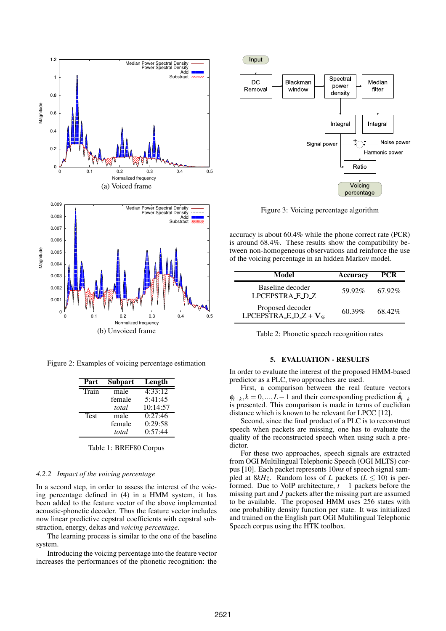

Figure 2: Examples of voicing percentage estimation

| Part        | <b>Subpart</b> | Length   |
|-------------|----------------|----------|
| Train       | male           | 4:33:12  |
|             | female         | 5:41:45  |
|             | total          | 10:14:57 |
| <b>Test</b> | male           | 0:27:46  |
|             | female         | 0:29:58  |
|             | total          | 0:57:44  |

Table 1: BREF80 Corpus

# *4.2.2 Impact of the voicing percentage*

In a second step, in order to assess the interest of the voicing percentage defined in (4) in a HMM system, it has been added to the feature vector of the above implemented acoustic-phonetic decoder. Thus the feature vector includes now linear predictive cepstral coefficients with cepstral substraction, energy, deltas and *voicing percentage*.

The learning process is similar to the one of the baseline system.

Introducing the voicing percentage into the feature vector increases the performances of the phonetic recognition: the



Figure 3: Voicing percentage algorithm

accuracy is about 60.4% while the phone correct rate (PCR) is around 68.4%. These results show the compatibility between non-homogeneous observations and reinforce the use of the voicing percentage in an hidden Markov model.

| Model                                          | Accuracy  | <b>PCR</b> |
|------------------------------------------------|-----------|------------|
| Baseline decoder<br>LPCEPSTRA_E_D_Z            | 59.92%    | 67.92%     |
| Proposed decoder<br>LPCEPSTRA_E_D_Z + $V_{\%}$ | $60.39\%$ | 68.42%     |

Table 2: Phonetic speech recognition rates

### **5. EVALUATION - RESULTS**

In order to evaluate the interest of the proposed HMM-based predictor as a PLC, two approaches are used.

First, a comparison between the real feature vectors  $\phi_{t+k}$ ,  $k = 0, ..., L-1$  and their corresponding prediction  $\hat{\phi}_{t+k}$ is presented. This comparison is made in terms of euclidian distance which is known to be relevant for LPCC [12].

Second, since the final product of a PLC is to reconstruct speech when packets are missing, one has to evaluate the quality of the reconstructed speech when using such a predictor.

For these two approaches, speech signals are extracted from OGI Multilingual Telephonic Speech (OGI MLTS) corpus [10]. Each packet represents 10*ms* of speech signal sampled at  $8kHz$ . Random loss of *L* packets ( $L \le 10$ ) is performed. Due to VoIP architecture,  $t - 1$  packets before the missing part and *J* packets after the missing part are assumed to be available. The proposed HMM uses 256 states with one probability density function per state. It was initialized and trained on the English part OGI Multilingual Telephonic Speech corpus using the HTK toolbox.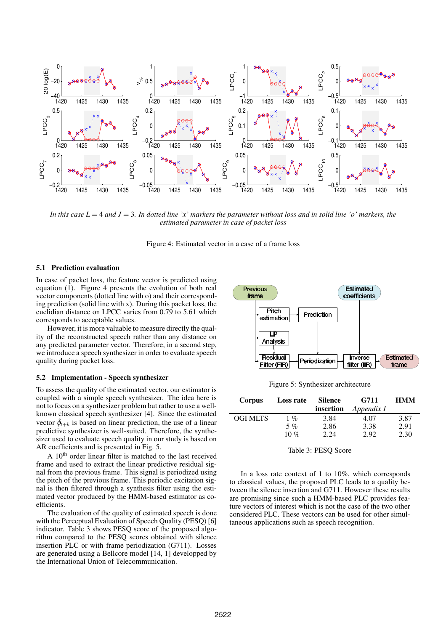

In this case  $L = 4$  and  $J = 3$ . In dotted line 'x' markers the parameter without loss and in solid line 'o' markers, the *estimated parameter in case of packet loss*

Figure 4: Estimated vector in a case of a frame loss

# **5.1 Prediction evaluation**

In case of packet loss, the feature vector is predicted using equation (1). Figure 4 presents the evolution of both real vector components (dotted line with o) and their corresponding prediction (solid line with x). During this packet loss, the euclidian distance on LPCC varies from 0.79 to 5.61 which corresponds to acceptable values.

However, it is more valuable to measure directly the quality of the reconstructed speech rather than any distance on any predicted parameter vector. Therefore, in a second step, we introduce a speech synthesizer in order to evaluate speech quality during packet loss.

### **5.2 Implementation - Speech synthesizer**

To assess the quality of the estimated vector, our estimator is coupled with a simple speech synthesizer. The idea here is not to focus on a synthesizer problem but rather to use a wellknown classical speech synthesizer [4]. Since the estimated vector  $\hat{\phi}_{t+k}$  is based on linear prediction, the use of a linear predictive synthesizer is well-suited. Therefore, the synthesizer used to evaluate speech quality in our study is based on AR coefficients and is presented in Fig. 5.

A 10th order linear filter is matched to the last received frame and used to extract the linear predictive residual signal from the previous frame. This signal is periodized using the pitch of the previous frame. This periodic excitation signal is then filtered through a synthesis filter using the estimated vector produced by the HMM-based estimator as coefficients.

The evaluation of the quality of estimated speech is done with the Perceptual Evaluation of Speech Quality (PESQ) [6] indicator. Table 3 shows PESQ score of the proposed algorithm compared to the PESQ scores obtained with silence insertion PLC or with frame periodization (G711). Losses are generated using a Bellcore model [14, 1] developped by the International Union of Telecommunication.



Figure 5: Synthesizer architecture

| <b>Corpus</b>   | Loss rate | <b>Silence</b><br>insertion | G711<br>Appendix 1 | <b>HMM</b> |
|-----------------|-----------|-----------------------------|--------------------|------------|
| <b>OGI MLTS</b> | $1\%$     | 3.84                        | 4.07               | 3.87       |
|                 | $5\%$     | 2.86                        | 3.38               | 2.91       |
|                 | 10 $%$    | 2.24                        | 2.92               | 2.30       |

Table 3: PESQ Score

In a loss rate context of 1 to 10%, which corresponds to classical values, the proposed PLC leads to a quality between the silence insertion and G711. However these results are promising since such a HMM-based PLC provides feature vectors of interest which is not the case of the two other considered PLC. These vectors can be used for other simultaneous applications such as speech recognition.